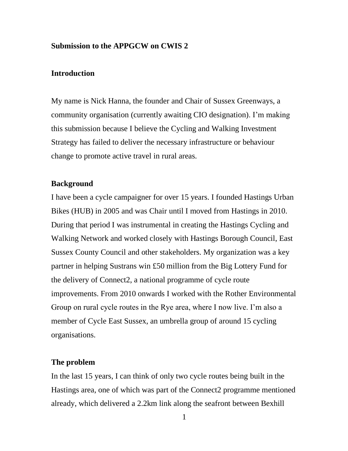#### **Submission to the APPGCW on CWIS 2**

#### **Introduction**

My name is Nick Hanna, the founder and Chair of Sussex Greenways, a community organisation (currently awaiting CIO designation). I'm making this submission because I believe the Cycling and Walking Investment Strategy has failed to deliver the necessary infrastructure or behaviour change to promote active travel in rural areas.

#### **Background**

I have been a cycle campaigner for over 15 years. I founded Hastings Urban Bikes (HUB) in 2005 and was Chair until I moved from Hastings in 2010. During that period I was instrumental in creating the Hastings Cycling and Walking Network and worked closely with Hastings Borough Council, East Sussex County Council and other stakeholders. My organization was a key partner in helping Sustrans win £50 million from the Big Lottery Fund for the delivery of Connect2, a national programme of cycle route improvements. From 2010 onwards I worked with the Rother Environmental Group on rural cycle routes in the Rye area, where I now live. I'm also a member of Cycle East Sussex, an umbrella group of around 15 cycling organisations.

#### **The problem**

In the last 15 years, I can think of only two cycle routes being built in the Hastings area, one of which was part of the Connect2 programme mentioned already, which delivered a 2.2km link along the seafront between Bexhill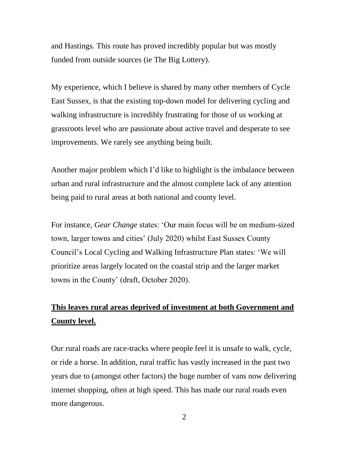and Hastings. This route has proved incredibly popular but was mostly funded from outside sources (ie The Big Lottery).

My experience, which I believe is shared by many other members of Cycle East Sussex, is that the existing top-down model for delivering cycling and walking infrastructure is incredibly frustrating for those of us working at grassroots level who are passionate about active travel and desperate to see improvements. We rarely see anything being built.

Another major problem which I'd like to highlight is the imbalance between urban and rural infrastructure and the almost complete lack of any attention being paid to rural areas at both national and county level.

For instance, *Gear Change* states: 'Our main focus will be on medium-sized town, larger towns and cities' (July 2020) whilst East Sussex County Council's Local Cycling and Walking Infrastructure Plan states: 'We will prioritize areas largely located on the coastal strip and the larger market towns in the County' (draft, October 2020).

# **This leaves rural areas deprived of investment at both Government and County level.**

Our rural roads are race-tracks where people feel it is unsafe to walk, cycle, or ride a horse. In addition, rural traffic has vastly increased in the past two years due to (amongst other factors) the huge number of vans now delivering internet shopping, often at high speed. This has made our rural roads even more dangerous.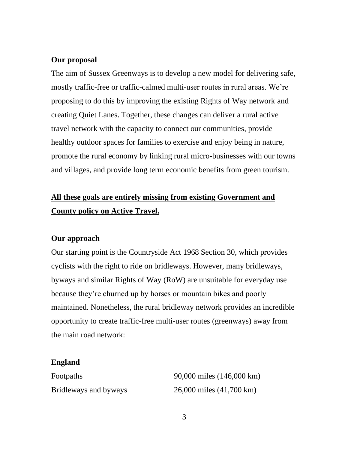### **Our proposal**

The aim of Sussex Greenways is to develop a new model for delivering safe, mostly traffic-free or traffic-calmed multi-user routes in rural areas. We're proposing to do this by improving the existing Rights of Way network and creating Quiet Lanes. Together, these changes can deliver a rural active travel network with the capacity to connect our communities, provide healthy outdoor spaces for families to exercise and enjoy being in nature, promote the rural economy by linking rural micro-businesses with our towns and villages, and provide long term economic benefits from green tourism.

# **All these goals are entirely missing from existing Government and County policy on Active Travel.**

#### **Our approach**

Our starting point is the Countryside Act 1968 Section 30, which provides cyclists with the right to ride on bridleways. However, many bridleways, byways and similar Rights of Way (RoW) are unsuitable for everyday use because they're churned up by horses or mountain bikes and poorly maintained. Nonetheless, the rural bridleway network provides an incredible opportunity to create traffic-free multi-user routes (greenways) away from the main road network:

#### **England**

| Footpaths             | 90,000 miles (146,000 km) |
|-----------------------|---------------------------|
| Bridleways and byways | 26,000 miles (41,700 km)  |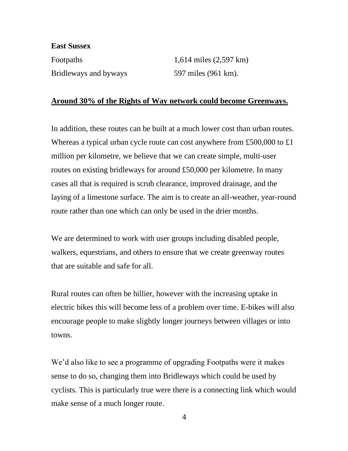#### **East Sussex**

Footpaths  $1,614 \text{ miles } (2,597 \text{ km})$ Bridleways and byways 597 miles (961 km).

### **Around 30% of the Rights of Way network could become Greenways.**

In addition, these routes can be built at a much lower cost than urban routes. Whereas a typical urban cycle route can cost anywhere from £500,000 to £1 million per kilometre, we believe that we can create simple, multi-user routes on existing bridleways for around £50,000 per kilometre. In many cases all that is required is scrub clearance, improved drainage, and the laying of a limestone surface. The aim is to create an all-weather, year-round route rather than one which can only be used in the drier months.

We are determined to work with user groups including disabled people, walkers, equestrians, and others to ensure that we create greenway routes that are suitable and safe for all.

Rural routes can often be hillier, however with the increasing uptake in electric bikes this will become less of a problem over time. E-bikes will also encourage people to make slightly longer journeys between villages or into towns.

We'd also like to see a programme of upgrading Footpaths were it makes sense to do so, changing them into Bridleways which could be used by cyclists. This is particularly true were there is a connecting link which would make sense of a much longer route.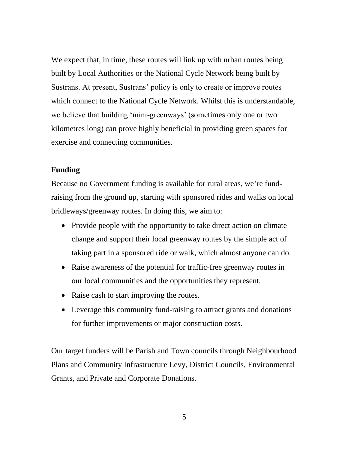We expect that, in time, these routes will link up with urban routes being built by Local Authorities or the National Cycle Network being built by Sustrans. At present, Sustrans' policy is only to create or improve routes which connect to the National Cycle Network. Whilst this is understandable, we believe that building 'mini-greenways' (sometimes only one or two kilometres long) can prove highly beneficial in providing green spaces for exercise and connecting communities.

## **Funding**

Because no Government funding is available for rural areas, we're fundraising from the ground up, starting with sponsored rides and walks on local bridleways/greenway routes. In doing this, we aim to:

- Provide people with the opportunity to take direct action on climate change and support their local greenway routes by the simple act of taking part in a sponsored ride or walk, which almost anyone can do.
- Raise awareness of the potential for traffic-free greenway routes in our local communities and the opportunities they represent.
- Raise cash to start improving the routes.
- Leverage this community fund-raising to attract grants and donations for further improvements or major construction costs.

Our target funders will be Parish and Town councils through Neighbourhood Plans and Community Infrastructure Levy, District Councils, Environmental Grants, and Private and Corporate Donations.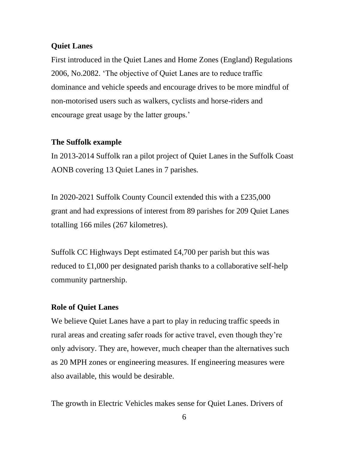## **Quiet Lanes**

First introduced in the Quiet Lanes and Home Zones (England) Regulations 2006, No.2082. 'The objective of Quiet Lanes are to reduce traffic dominance and vehicle speeds and encourage drives to be more mindful of non-motorised users such as walkers, cyclists and horse-riders and encourage great usage by the latter groups.'

## **The Suffolk example**

In 2013-2014 Suffolk ran a pilot project of Quiet Lanes in the Suffolk Coast AONB covering 13 Quiet Lanes in 7 parishes.

In 2020-2021 Suffolk County Council extended this with a £235,000 grant and had expressions of interest from 89 parishes for 209 Quiet Lanes totalling 166 miles (267 kilometres).

Suffolk CC Highways Dept estimated £4,700 per parish but this was reduced to £1,000 per designated parish thanks to a collaborative self-help community partnership.

## **Role of Quiet Lanes**

We believe Quiet Lanes have a part to play in reducing traffic speeds in rural areas and creating safer roads for active travel, even though they're only advisory. They are, however, much cheaper than the alternatives such as 20 MPH zones or engineering measures. If engineering measures were also available, this would be desirable.

The growth in Electric Vehicles makes sense for Quiet Lanes. Drivers of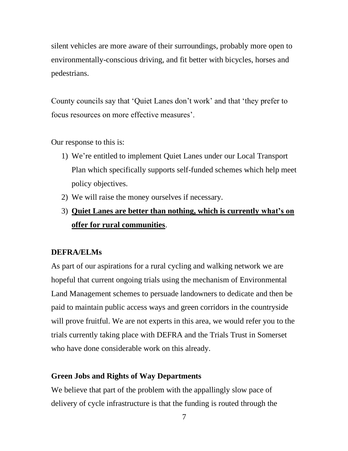silent vehicles are more aware of their surroundings, probably more open to environmentally-conscious driving, and fit better with bicycles, horses and pedestrians.

County councils say that 'Quiet Lanes don't work' and that 'they prefer to focus resources on more effective measures'.

Our response to this is:

- 1) We're entitled to implement Quiet Lanes under our Local Transport Plan which specifically supports self-funded schemes which help meet policy objectives.
- 2) We will raise the money ourselves if necessary.
- 3) **Quiet Lanes are better than nothing, which is currently what's on offer for rural communities**.

#### **DEFRA/ELMs**

As part of our aspirations for a rural cycling and walking network we are hopeful that current ongoing trials using the mechanism of Environmental Land Management schemes to persuade landowners to dedicate and then be paid to maintain public access ways and green corridors in the countryside will prove fruitful. We are not experts in this area, we would refer you to the trials currently taking place with DEFRA and the Trials Trust in Somerset who have done considerable work on this already.

## **Green Jobs and Rights of Way Departments**

We believe that part of the problem with the appallingly slow pace of delivery of cycle infrastructure is that the funding is routed through the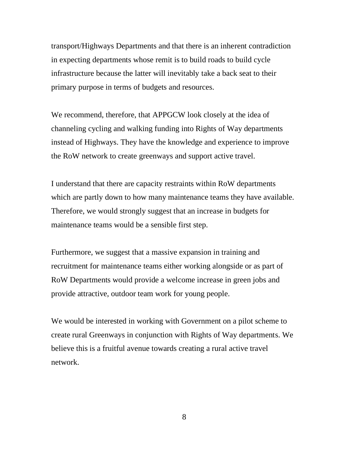transport/Highways Departments and that there is an inherent contradiction in expecting departments whose remit is to build roads to build cycle infrastructure because the latter will inevitably take a back seat to their primary purpose in terms of budgets and resources.

We recommend, therefore, that APPGCW look closely at the idea of channeling cycling and walking funding into Rights of Way departments instead of Highways. They have the knowledge and experience to improve the RoW network to create greenways and support active travel.

I understand that there are capacity restraints within RoW departments which are partly down to how many maintenance teams they have available. Therefore, we would strongly suggest that an increase in budgets for maintenance teams would be a sensible first step.

Furthermore, we suggest that a massive expansion in training and recruitment for maintenance teams either working alongside or as part of RoW Departments would provide a welcome increase in green jobs and provide attractive, outdoor team work for young people.

We would be interested in working with Government on a pilot scheme to create rural Greenways in conjunction with Rights of Way departments. We believe this is a fruitful avenue towards creating a rural active travel network.

8